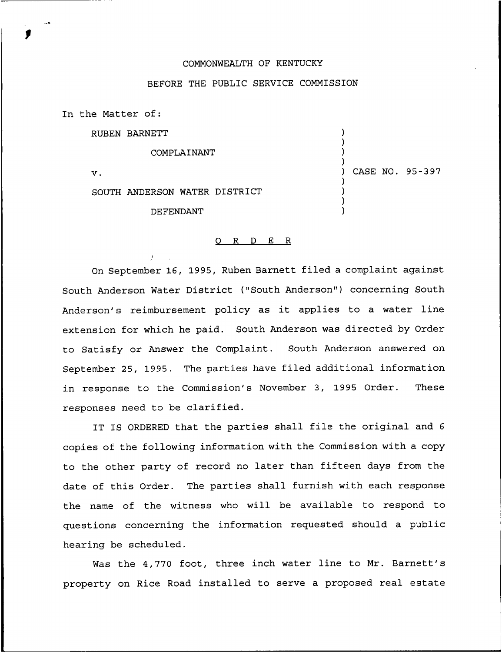## COMMONWEALTH OF KENTUCKY

## BEFORE THE PUBLIC SERVICE COMMISSION

) ) ) )

) ) ) ) ) CASE NO. 95-397

In the Matter of:

RUBEN BARNETT

COMPLAINANT

 $\mathbf{v}$ .

SOUTH ANDERSON WATER DISTRICT

DEFENDANT

## 0 R <sup>D</sup> E <sup>R</sup>

On September 16, 1995, Ruben Barnett filed a complaint against South Anderson Water District ("South Anderson") concerning South Anderson's reimbursement policy as it applies to <sup>a</sup> water line extension for which he paid. South Anderson was directed by Order to Satisfy or Answer the Complaint. South Anderson answered on September 25, 1995. The parties have filed additional information in response to the Commission's November 3, 1995 Order. These responses need to be clarified.

IT IS ORDERED that the parties shall file the original and <sup>6</sup> copies of the following information with the Commission with a copy to the other party of record no later than fifteen days from the date of this Order. The parties shall furnish with each response the name of the witness who will be available to respond to questions concerning the information requested should a public hearing be scheduled.

Was the 4,770 foot, three inch water line to Mr. Barnett's property on Rice Road installed to serve a proposed real estate